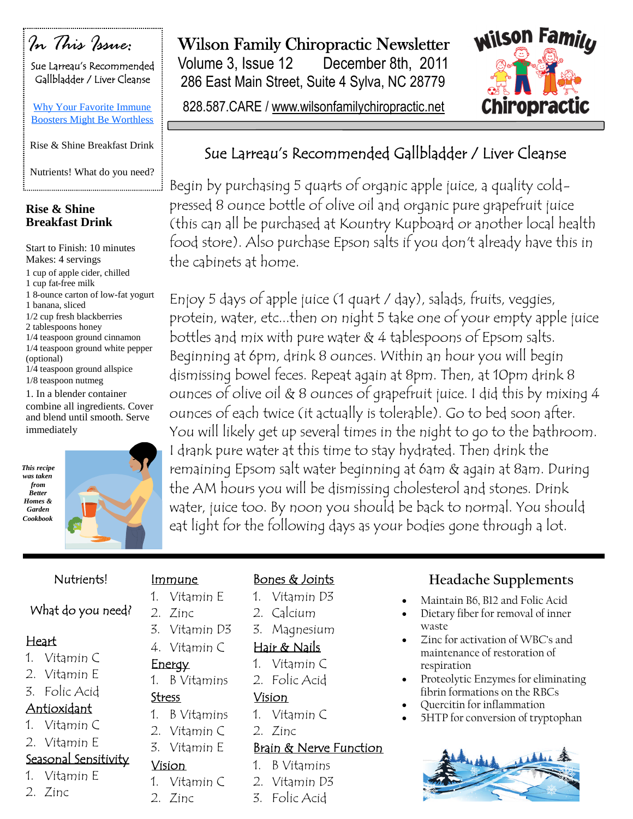

Sue Larreau's Recommended Gallbladder / Liver Cleanse

Why Your Favorite Immune Boosters Might Be Worthless

Rise & Shine Breakfast Drink

Nutrients! What do you need? 

### **Rise & Shine Breakfast Drink**

Start to Finish: 10 minutes Makes: 4 servings 1 cup of apple cider, chilled 1 cup fat-free milk 1 8-ounce carton of low-fat yogurt 1 banana, sliced 1/2 cup fresh blackberries 2 tablespoons honey 1/4 teaspoon ground cinnamon 1/4 teaspoon ground white pepper (optional) 1/4 teaspoon ground allspice 1/8 teaspoon nutmeg 1. In a blender container combine all ingredients. Cover and blend until smooth. Serve immediately





Immune 1. Vitamin E

2. Zinc

**Energy** 

Stress

Vision

2. Zinc

3. Vitamin D3 4. Vitamin C

1. B Vitamins

1. B Vitamins 2. Vitamin C 3. Vitamin E

1. Vitamin C

### Nutrients!

### What do you need?

- 1. Vitamin C
- 2. Vitamin E
- 3. Folic Acid

- 1. Vitamin C
- 2. Vitamin E

# Seasonal Sensitivity

- 1. Vitamin E
- 2. Zinc

# Wilson Family Chiropractic Newsletter

Volume 3, Issue 12 December 8th, 2011 286 East Main Street, Suite 4 Sylva, NC 28779

828.587.CARE / www.wilsonfamilychiropractic.net



# Sue Larreau's Recommended Gallbladder / Liver Cleanse

Begin by purchasing 5 quarts of organic apple juice, a quality coldpressed 8 ounce bottle of olive oil and organic pure grapefruit juice (this can all be purchased at Kountry Kupboard or another local health food store). Also purchase Epson salts if you don't already have this in the cabinets at home.

Enjoy 5 days of apple juice (1 quart / day), salads, fruits, veggies, protein, water, etc...then on night 5 take one of your empty apple juice bottles and mix with pure water & 4 tablespoons of Epsom salts. Beginning at 6pm, drink 8 ounces. Within an hour you will begin dismissing bowel feces. Repeat again at 8pm. Then, at 10pm drink 8 ounces of olive oil & 8 ounces of grapefruit juice. I did this by mixing 4 ounces of each twice (it actually is tolerable). Go to bed soon after. You will likely get up several times in the night to go to the bathroom. I drank pure water at this time to stay hydrated. Then drink the remaining Epsom salt water beginning at 6am & again at 8am. During the AM hours you will be dismissing cholesterol and stones. Drink water, juice too. By noon you should be back to normal. You should eat light for the following days as your bodies gone through a lot.

### Heart

- 
- 

- Antioxidant
- 
- 

- 
- 

## Bones & Joints

- 1. Vitamin D3
- 2. Calcium
- 3. Magnesium

## Hair & Nails

- 1. Vitamin C
- 2. Folic Acid

### Vision

- 1. Vitamin C
- 2. Zinc

### Brain & Nerve Function

- 1. B Vitamins
- 2. Vitamin D3
- 3. Folic Acid

# **Headache Supplements**

- Maintain B6, B12 and Folic Acid
- Dietary fiber for removal of inner waste
- Zinc for activation of WBC's and maintenance of restoration of respiration
- Proteolytic Enzymes for eliminating fibrin formations on the RBCs
- Quercitin for inflammation
- 5HTP for conversion of tryptophan